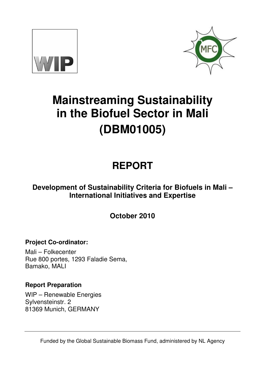



# **Mainstreaming Sustainability in the Biofuel Sector in Mali (DBM01005)**

# **REPORT**

# **Development of Sustainability Criteria for Biofuels in Mali – International Initiatives and Expertise**

**October 2010** 

**Project Co-ordinator:** 

Mali – Folkecenter Rue 800 portes, 1293 Faladie Sema, Bamako, MALI

# **Report Preparation**

WIP – Renewable Energies Sylvensteinstr. 2 81369 Munich, GERMANY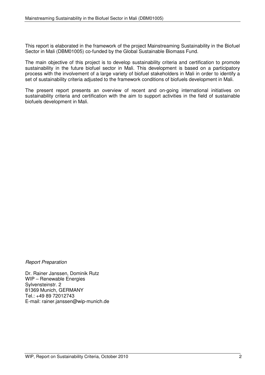This report is elaborated in the framework of the project Mainstreaming Sustainability in the Biofuel Sector in Mali (DBM01005) co-funded by the Global Sustainable Biomass Fund.

The main objective of this project is to develop sustainability criteria and certification to promote sustainability in the future biofuel sector in Mali. This development is based on a participatory process with the involvement of a large variety of biofuel stakeholders in Mali in order to identify a set of sustainability criteria adjusted to the framework conditions of biofuels development in Mali.

The present report presents an overview of recent and on-going international initiatives on sustainability criteria and certification with the aim to support activities in the field of sustainable biofuels development in Mali.

Report Preparation

Dr. Rainer Janssen, Dominik Rutz WIP – Renewable Energies Sylvensteinstr. 2 81369 Munich, GERMANY Tel.: +49 89 72012743 E-mail: rainer.janssen@wip-munich.de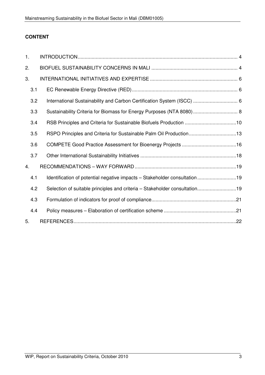# **CONTENT**

| 1.  |                                                                            |
|-----|----------------------------------------------------------------------------|
| 2.  |                                                                            |
| 3.  |                                                                            |
| 3.1 |                                                                            |
| 3.2 | International Sustainability and Carbon Certification System (ISCC)  6     |
| 3.3 |                                                                            |
| 3.4 |                                                                            |
| 3.5 | RSPO Principles and Criteria for Sustainable Palm Oil Production13         |
| 3.6 |                                                                            |
| 3.7 |                                                                            |
| 4.  |                                                                            |
| 4.1 | Identification of potential negative impacts - Stakeholder consultation 19 |
| 4.2 | Selection of suitable principles and criteria - Stakeholder consultation19 |
| 4.3 |                                                                            |
| 4.4 |                                                                            |
| 5.  |                                                                            |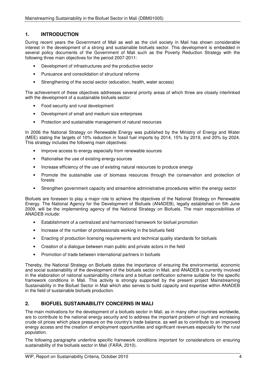# **1. INTRODUCTION**

During recent years the Government of Mali as well as the civil society in Mali has shown considerable interest in the development of a strong and sustainable biofuels sector. This development is embedded in several policy documents of the Government of Mali such as the Poverty Reduction Strategy with the following three main objectives for the period 2007-2011:

- Development of infrastructures and the productive sector
- Pursuance and consolidation of structural reforms
- Strengthening of the social sector (education, health, water access)

The achievement of these objectives addresses several priority areas of which three are closely interlinked with the development of a sustainable biofuels sector:

- Food security and rural development
- Development of small and medium size enterprises
- Protection and sustainable management of natural resources

In 2006 the National Strategy on Renewable Energy was published by the Ministry of Energy and Water (MEE) stating the targets of 10% reduction in fossil fuel imports by 2014, 15% by 2019, and 20% by 2024. This strategy includes the following main objectives:

- Improve access to energy especially from renewable sources
- Rationalise the use of existing energy sources
- Increase efficiency of the use of existing natural resources to produce energy
- Promote the sustainable use of biomass resources through the conservation and protection of forests
- Strengthen government capacity and streamline administrative procedures within the energy sector

Biofuels are foreseen to play a major role to achieve the objectives of the National Strategy on Renewable Energy. The National Agency for the Development of Biofuels (ANADEB), legally established on 5th June 2009, will be the implementing agency of the National Strategy on Biofuels. The main responsibilities of ANADEB include:

- Establishment of a centralized and harmonized framework for biofuel promotion
- Increase of the number of professionals working in the biofuels field
- Enacting of production licensing requirements and technical quality standards for biofuels
- Creation of a dialogue between main public and private actors in the field
- Promotion of trade between international partners in biofuels

Thereby, the National Strategy on Biofuels states the importance of ensuring the environmental, economic and social sustainability of the development of the biofuels sector in Mali, and ANADEB is currently involved in the elaboration of national sustainability criteria and a biofuel certification scheme suitable for the specific framework conditions in Mali. This activity is strongly supported by the present project Mainstreaming Sustainability in the Biofuel Sector in Mali which also serves to build capacity and expertise within ANADEB in the field of sustainable biofuels production.

# **2. BIOFUEL SUSTAINABILITY CONCERNS IN MALI**

The main motivations for the development of a biofuels sector in Mali, as in many other countries worldwide, are to contribute to the national energy security and to address the important problem of high and increasing crude oil prices which place pressure on the country's trade balance, as well as to contribute to an improved energy access and the creation of employment opportunities and significant revenues especially for the rural population.

The following paragraphs underline specific framework conditions important for considerations on ensuring sustainability of the biofuels sector in Mali (FARA, 2010).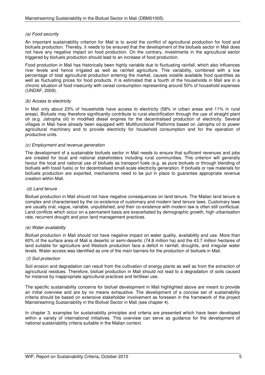#### (a) Food security

An important sustainability criterion for Mali is to avoid the conflict of agricultural production for food and biofuels production. Thereby, it needs to be ensured that the development of the biofuels sector in Mali does not have any negative impact on food production. On the contrary, investments in the agricultural sector triggered by biofuels production should lead to an increase of food production.

Food production in Mali has historically been highly variable due to fluctuating rainfall, which also influences river levels and hence irrigated as well as rainfed agriculture. This variability, combined with a low percentage of total agricultural production entering the market, causes volatile available food quantities as well as fluctuating prices for food products. It is estimated that a fourth of the households in Mali are in a chronic situation of food insecurity with cereal consumption representing around 50% of household expenses (UNDAF, 2009).

#### (b) Access to electricity

In Mali only about 23% of households have access to electricity (58% in urban areas and 11% in rural areas). Biofuels may therefore significantly contribute to rural electrification through the use of straight plant oil (e.g. Jatropha oil) in modified diesel engines for the decentralised production of electricity. Several villages in Mali have already been equipped with Multifunctional Platforms based on Jatropha oil to power agricultural machinery and to provide electricity for household consumption and for the operation of productive units.

#### (c) Employment and revenue generation

The development of a sustainable biofuels sector in Mali needs to ensure that sufficient revenues and jobs are created for local and national stakeholders including rural communities. This criterion will generally favour the local and national use of biofuels as transport fuels (e.g. as pure biofuels or through blending of biofuels with fossil fuels) or for decentralised small-scale electricity generation. If biofuels or raw materials for biofuels production are exported, mechanisms need to be put in place to guarantee appropriate revenue creation within Mali.

#### (d) Land tenure

Biofuel production in Mali should not have negative consequences on land tenure. The Malian land tenure is complex and characterised by the co-existence of customary and modern land tenure laws. Customary laws are usually oral, vague, variable, unpublished, and their co-existence with modern law is often still conflictual. Land conflicts which occur on a permanent basis are exacerbated by demographic growth, high urbanisation rate, recurrent drought and poor land management practices.

#### (e) Water availability

Biofuel production in Mali should not have negative impact on water quality, availability and use. More than 60% of the surface area of Mali is desertic or semi-desertic (74.8 million ha) and the 43.7 million hectares of land suitable for agriculture and lifestock production face a deficit in rainfall, droughts, and irregular water levels. Water access was identified as one of the main barriers for the production of biofuels in Mali.

#### (f) Soil protection

Soil erosion and degradation can result from the cultivation of energy plants as well as from the extraction of agricultural residues. Therefore, biofuel production in Mali should not lead to a degradation of soils caused for instance by inappropriate agricultural practices and fertiliser use.

The specific sustainability concerns for biofuel development in Mali highlighted above are meant to provide an initial overview and are by no means exhaustive. The development of a concise set of sustainability criteria should be based on extensive stakeholder involvement as foreseen in the framework of the project Mainstreaming Sustainability in the Biofuel Sector in Mali (see chapter 4).

In chapter 3, examples for sustainability principles and criteria are presented which have been developed within a variety of international initiatives. This overview can serve as guidance for the development of national sustainability criteria suitable in the Malian context.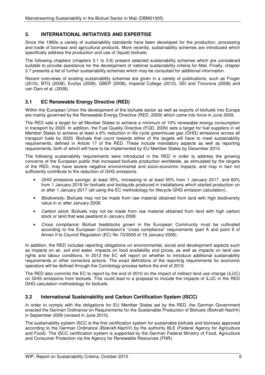## **3. INTERNATIONAL INITIATIVES AND EXPERTISE**

Since the 1990s a variety of sustainability standards have been developed for the production, processing and trade of biomass and agricultural products. More recently, sustainability schemes are introduced which specifically address the production and use of (liquid) biofuels.

The following chapters (chapters 3.1 to 3.6) present selected sustainability schemes which are considered suitable to provide assistance for the development of national sustainability criteria for Mali. Finally, chapter 3.7 presents a list of further sustainability schemes which may be consulted for additional information.

Recent overviews of existing sustainability schemes are given in a variety of publications, such as Froger (2010), BTG (2008), Ecofys (2009), GBEP (2008), Imperial College (2010), SEI and Tricorona (2008) and van Dam et al. (2008).

### **3.1 EC Renewable Energy Directive (RED)**

Within the European Union the development of the biofuels sector as well as exports of biofuels into Europe are mainly governed by the Renewable Energy Directive (RED, 2009) which came into force in June 2009.

The RED sets a target for all Member States to achieve a minimum of 10% renewable energy consumption in transport by 2020. In addition, the Fuel Quality Directive (FQD, 2009) sets a target for fuel suppliers in all Member States to achieve at least a 6% reduction in life cycle greenhouse gas (GHG) emissions across all transport fuels by 2020. Biofuels that count towards either of the targets will have to meet sustainability requirements, defined in Article 17 of the RED. These include mandatory aspects as well as reporting requirements, both of which will have to be implemented by EU Member States by December 2010.

The following sustainability requirements were introduced in the RED in order to address the growing concerns of the European public that increased biofuels production worldwide, as stimulated by the targets of the RED, may have severe negative environmental and socio-economic impacts, and may in fact not sufficiently contribute to the reduction of GHG emissions:

- GHG emissions savings: at least 35%, increasing to at least 50% from 1 January 2017, and 60% from 1 January 2018 for biofuels and bioliquids produced in installations which started production on or after 1 January 2017 (all using the EC methodology for lifecycle GHG emission calculation)..
- Biodiversity: Biofuels may not be made from raw material obtained from land with high biodiversity value in or after January 2008.
- Carbon stock: Biofuels may not be made from raw material obtained from land with high carbon stock or land that was peatland in January 2008.
- Cross compliance: Biofuel feedstocks grown in the European Community must be cultivated according to the European Commission's "cross compliance" requirements (part A and point 9 of Annex II to Council Regulation (EC) No 73/2009 of 19 January 2009).

In addition, the RED includes reporting obligations on environmental, social and development aspects such as impacts on air, soil and water, impacts on food availability and prices, as well as impacts on land use rights and labour conditions. In 2012 the EC will report on whether to introduce additional sustainability requirements or other corrective actions. The exact definitions of the reporting requirements for economic operators will be defined through the Comitology process before the end of 2010.

The RED also commits the EC to report by the end of 2010 on the impact of indirect land use change (iLUC) on GHG emissions from biofuels. This could lead to a proposal to include the impacts of iLUC in the RED GHG calculation methodology for biofuels.

#### **3.2 International Sustainability and Carbon Certification System (ISCC)**

In order to comply with the obligations for EU Member States set by the RED, the German Government enacted the German Ordinance on Requirements for the Sustainable Production of Biofuels (Biokraft-NachV) in September 2009 (revised in June 2010).

The sustainability system ISCC is the first certification system for sustainable biofuels and biomass approved according to the German Ordinance (Biokraft-NachV) by the authority BLE (Federal Agency for Agriculture and Food). The ISCC certification system is supported by the German Federal Ministry of Food, Agriculture and Consumer Protection via the Agency for Renewable Resources (FNR).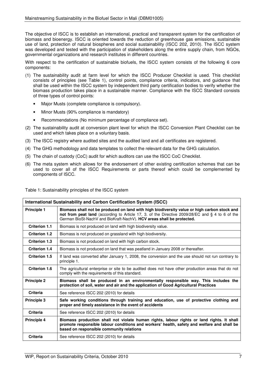The objective of ISCC is to establish an international, practical and transparent system for the certification of biomass and bioenergy. ISCC is oriented towards the reduction of greenhouse gas emissions, sustainable use of land, protection of natural biospheres and social sustainability (ISCC 202, 2010). The ISCC system was developed and tested with the participation of stakeholders along the entire supply chain, from NGOs, governmental organizations and research institutes in different countries.

With respect to the certification of sustainable biofuels, the ISCC system consists of the following 6 core components:

- (1) The sustainability audit at farm level for which the ISCC Producer Checklist is used. This checklist consists of principles (see Table 1), control points, compliance criteria, indicators, and guidance that shall be used within the ISCC system by independent third party certification bodies to verify whether the biomass production takes place in a sustainable manner. Compliance with the ISCC Standard consists of three types of control points:
	- Major Musts (complete compliance is compulsory).
	- Minor Musts (90% compliance is mandatory)
	- Recommendations (No minimum percentage of compliance set).
- (2) The sustainability audit at conversion plant level for which the ISCC Conversion Plant Checklist can be used and which takes place on a voluntary basis.
- (3) The ISCC registry where audited sites and the audited land and all certificates are registered.
- (4) The GHG methodology and data templates to collect the relevant data for the GHG calculation.
- (5) The chain of custody (CoC) audit for which auditors can use the ISCC CoC Checklist.
- (6) The meta system which allows for the endorsement of other existing certification schemes that can be used to cover all of the ISCC Requirements or parts thereof which could be complemented by components of ISCC.

Table 1: Sustainability principles of the ISCC system

| International Sustainability and Carbon Certification System (ISCC) |                                                                                                                                                                                                                                                                         |  |  |
|---------------------------------------------------------------------|-------------------------------------------------------------------------------------------------------------------------------------------------------------------------------------------------------------------------------------------------------------------------|--|--|
| <b>Principle 1</b>                                                  | Biomass shall not be produced on land with high biodiversity value or high carbon stock and<br>not from peat land (according to Article 17, 3. of the Directive 2009/28/EC and § 4 to 6 of the<br>German BioSt-NachV and BioKraft-NachV). HCV areas shall be protected. |  |  |
| <b>Criterion 1.1</b>                                                | Biomass is not produced on land with high biodiversity value.                                                                                                                                                                                                           |  |  |
| <b>Criterion 1.2</b>                                                | Biomass is not produced on grassland with high biodiversity.                                                                                                                                                                                                            |  |  |
| Criterion 1.3                                                       | Biomass is not produced on land with high carbon stock.                                                                                                                                                                                                                 |  |  |
| <b>Criterion 1.4</b>                                                | Biomass is not produced on land that was peatland in January 2008 or thereafter.                                                                                                                                                                                        |  |  |
| <b>Criterion 1.5</b>                                                | If land was converted after January 1, 2008, the conversion and the use should not run contrary to<br>principle 1.                                                                                                                                                      |  |  |
| Criterion 1.6                                                       | The agricultural enterprise or site to be audited does not have other production areas that do not<br>comply with the requirements of this standard.                                                                                                                    |  |  |
| <b>Principle 2</b>                                                  | Biomass shall be produced in an environmentally responsible way. This includes the<br>protection of soil, water and air and the application of Good Agricultural Practices                                                                                              |  |  |
| Criteria                                                            | See reference ISCC 202 (2010) for details                                                                                                                                                                                                                               |  |  |
| <b>Principle 3</b>                                                  | Safe working conditions through training and education, use of protective clothing and<br>proper and timely assistance in the event of accidents                                                                                                                        |  |  |
| Criteria                                                            | See reference ISCC 202 (2010) for details                                                                                                                                                                                                                               |  |  |
| <b>Principle 4</b>                                                  | Biomass production shall not violate human rights, labour rights or land rights. It shall<br>promote responsible labour conditions and workers' health, safety and welfare and shall be<br>based on responsible community relations                                     |  |  |
| <b>Criteria</b>                                                     | See reference ISCC 202 (2010) for details                                                                                                                                                                                                                               |  |  |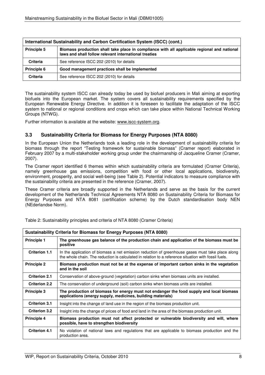| International Sustainability and Carbon Certification System (ISCC) (cont.)                                                                                                |                                                |  |  |
|----------------------------------------------------------------------------------------------------------------------------------------------------------------------------|------------------------------------------------|--|--|
| Biomass production shall take place in compliance with all applicable regional and national<br><b>Principle 5</b><br>laws and shall follow relevant international treaties |                                                |  |  |
| <b>Criteria</b>                                                                                                                                                            | See reference ISCC 202 (2010) for details      |  |  |
| <b>Principle 6</b>                                                                                                                                                         | Good management practices shall be implemented |  |  |
| Criteria                                                                                                                                                                   | See reference ISCC 202 (2010) for details      |  |  |

The sustainability system ISCC can already today be used by biofuel producers in Mali aiming at exporting biofuels into the European market. The system covers all sustainability requirements specified by the European Renewable Energy Directive. In addition it is foreseen to facilitate the adaptation of the ISCC system to national or regional conditions and crops which can take place within National Technical Working Groups (NTWG).

Further information is available at the website: www.iscc-system.org.

#### **3.3 Sustainability Criteria for Biomass for Energy Purposes (NTA 8080)**

In the European Union the Netherlands took a leading role in the development of sustainability criteria for biomass through the report "Testing framework for sustainable biomass" (Cramer report) elaborated in February 2007 by a multi-stakeholder working group under the chairmanship of Jacqueline Cramer (Cramer, 2007).

The Cramer report identified 6 themes within which sustainability criteria are formulated (Cramer Criteria), namely greenhouse gas emissions, competition with food or other local applications, biodiversity, environment, prosperity, and social well-being (see Table 2). Potential indicators to measure compliance with the sustainability criteria are presented in the reference (Cramer, 2007).

These Cramer criteria are broadly supported in the Netherlands and serve as the basis for the current development of the Netherlands Technical Agreements NTA 8080 on Sustainability Criteria for Biomass for Energy Purposes and NTA 8081 (certification scheme) by the Dutch standardisation body NEN (NEderlandse Norm).

| Sustainability Criteria for Biomass for Energy Purposes (NTA 8080)                                                                                                                                                               |                                                                                                                                                         |  |  |  |
|----------------------------------------------------------------------------------------------------------------------------------------------------------------------------------------------------------------------------------|---------------------------------------------------------------------------------------------------------------------------------------------------------|--|--|--|
| <b>Principle 1</b>                                                                                                                                                                                                               | The greenhouse gas balance of the production chain and application of the biomass must be<br>positive                                                   |  |  |  |
| <b>Criterion 1.1</b><br>In the application of biomass a net emission reduction of greenhouse gases must take place along<br>the whole chain. The reduction is calculated in relation to a reference situation with fossil fuels. |                                                                                                                                                         |  |  |  |
| <b>Principle 2</b>                                                                                                                                                                                                               | Biomass production must not be at the expense of important carbon sinks in the vegetation<br>and in the soil                                            |  |  |  |
| <b>Criterion 2.1</b>                                                                                                                                                                                                             | Conservation of above-ground (vegetation) carbon sinks when biomass units are installed.                                                                |  |  |  |
| <b>Criterion 2.2</b>                                                                                                                                                                                                             | The conservation of underground (soil) carbon sinks when biomass units are installed.                                                                   |  |  |  |
| <b>Principle 3</b>                                                                                                                                                                                                               | The production of biomass for energy must not endanger the food supply and local biomass<br>applications (energy supply, medicines, building materials) |  |  |  |
| <b>Criterion 3.1</b>                                                                                                                                                                                                             | Insight into the change of land use in the region of the biomass production unit.                                                                       |  |  |  |
| <b>Criterion 3.2</b>                                                                                                                                                                                                             | Insight into the change of prices of food and land in the area of the biomass production unit.                                                          |  |  |  |
| <b>Principle 4</b><br>Biomass production must not affect protected or vulnerable biodiversity and will, where<br>possible, have to strengthen biodiversity                                                                       |                                                                                                                                                         |  |  |  |
| <b>Criterion 4.1</b>                                                                                                                                                                                                             | No violation of national laws and regulations that are applicable to biomass production and the<br>production area.                                     |  |  |  |

Table 2: Sustainability principles and criteria of NTA 8080 (Cramer Criteria)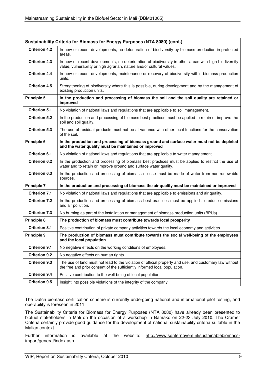| Sustainability Criteria for Biomass for Energy Purposes (NTA 8080) (cont.)                                                                                       |                                                                                                                                                                                     |  |  |  |
|------------------------------------------------------------------------------------------------------------------------------------------------------------------|-------------------------------------------------------------------------------------------------------------------------------------------------------------------------------------|--|--|--|
| <b>Criterion 4.2</b>                                                                                                                                             | In new or recent developments, no deterioration of biodiversity by biomass production in protected<br>areas.                                                                        |  |  |  |
| <b>Criterion 4.3</b>                                                                                                                                             | In new or recent developments, no deterioration of biodiversity in other areas with high biodiversity<br>value, vulnerability or high agrarian, nature and/or cultural values.      |  |  |  |
| <b>Criterion 4.4</b>                                                                                                                                             | In new or recent developments, maintenance or recovery of biodiversity within biomass production<br>units.                                                                          |  |  |  |
| <b>Criterion 4.5</b>                                                                                                                                             | Strengthening of biodiversity where this is possible, during development and by the management of<br>existing production units.                                                     |  |  |  |
| <b>Principle 5</b>                                                                                                                                               | In the production and processing of biomass the soil and the soil quality are retained or<br>improved                                                                               |  |  |  |
| <b>Criterion 5.1</b>                                                                                                                                             | No violation of national laws and regulations that are applicable to soil management.                                                                                               |  |  |  |
| <b>Criterion 5.2</b>                                                                                                                                             | In the production and processing of biomass best practices must be applied to retain or improve the<br>soil and soil quality.                                                       |  |  |  |
| <b>Criterion 5.3</b>                                                                                                                                             | The use of residual products must not be at variance with other local functions for the conservation<br>of the soil.                                                                |  |  |  |
| Principle 6<br>In the production and processing of biomass ground and surface water must not be depleted<br>and the water quality must be maintained or improved |                                                                                                                                                                                     |  |  |  |
| <b>Criterion 6.1</b>                                                                                                                                             | No violation of national laws and regulations that are applicable to water management.                                                                                              |  |  |  |
| <b>Criterion 6.2</b>                                                                                                                                             | In the production and processing of biomass best practices must be applied to restrict the use of<br>water and to retain or improve ground and surface water quality.               |  |  |  |
| <b>Criterion 6.3</b>                                                                                                                                             | In the production and processing of biomass no use must be made of water from non-renewable<br>sources.                                                                             |  |  |  |
| <b>Principle 7</b>                                                                                                                                               | In the production and processing of biomass the air quality must be maintained or improved                                                                                          |  |  |  |
| <b>Criterion 7.1</b>                                                                                                                                             | No violation of national laws and regulations that are applicable to emissions and air quality.                                                                                     |  |  |  |
| <b>Criterion 7.2</b>                                                                                                                                             | In the production and processing of biomass best practices must be applied to reduce emissions<br>and air pollution.                                                                |  |  |  |
| <b>Criterion 7.3</b>                                                                                                                                             | No burning as part of the installation or management of biomass production units (BPUs).                                                                                            |  |  |  |
| <b>Principle 8</b>                                                                                                                                               | The production of biomass must contribute towards local prosperity                                                                                                                  |  |  |  |
| <b>Criterion 8.1</b>                                                                                                                                             | Positive contribution of private company activities towards the local economy and activities.                                                                                       |  |  |  |
| <b>Principle 9</b>                                                                                                                                               | The production of biomass must contribute towards the social well-being of the employees<br>and the local population                                                                |  |  |  |
| <b>Criterion 9.1</b>                                                                                                                                             | No negative effects on the working conditions of employees.                                                                                                                         |  |  |  |
| <b>Criterion 9.2</b>                                                                                                                                             | No negative effects on human rights.                                                                                                                                                |  |  |  |
| <b>Criterion 9.3</b>                                                                                                                                             | The use of land must not lead to the violation of official property and use, and customary law without<br>the free and prior consent of the sufficiently informed local population. |  |  |  |
| <b>Criterion 9.4</b>                                                                                                                                             | Positive contribution to the well-being of local population.                                                                                                                        |  |  |  |
| <b>Criterion 9.5</b>                                                                                                                                             | Insight into possible violations of the integrity of the company.                                                                                                                   |  |  |  |

The Dutch biomass certification scheme is currently undergoing national and international pilot testing, and operability is foreseen in 2011.

The Sustainability Criteria for Biomass for Energy Purposes (NTA 8080) have already been presented to biofuel stakeholders in Mali on the occasion of a workshop in Bamako on 22-23 July 2010. The Cramer Criteria certainly provide good guidance for the development of national sustainability criteria suitable in the Malian context.

Further information is available at the website: http://www.senternovem.nl/sustainablebiomassimport/general/index.asp.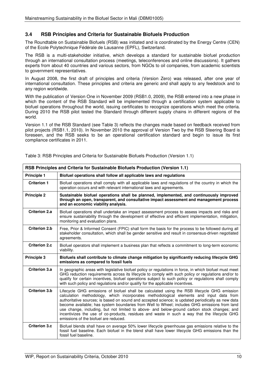## **3.4 RSB Principles and Criteria for Sustainable Biofuels Production**

The Roundtable on Sustainable Biofuels (RSB) was initiated and is coordinated by the Energy Centre (CEN) of the Ecole Polytechnique Fédérale de Lausanne (EPFL), Switzerland.

The RSB is a multi-stakeholder initiative, which develops a standard for sustainable biofuel production through an international consultation process (meetings, teleconferences and online discussions). It gathers experts from about 40 countries and various sectors, from NGOs to oil companies, from academic scientists to government representatives.

In August 2008, the first draft of principles and criteria (Version Zero) was released, after one year of international consultation. These principles and criteria are generic and shall apply to any feedstock and to any region worldwide.

With the publication of Version One in November 2009 (RSB1.0, 2009), the RSB entered into a new phase in which the content of the RSB Standard will be implemented through a certification system applicable to biofuel operations throughout the world, issuing certificates to recognize operations which meet the criteria. During 2010 the RSB pilot tested the Standard through different supply chains in different regions of the world.

Version 1.1 of the RSB Standard (see Table 3) reflects the changes made based on feedback received from pilot projects (RSB1.1, 2010). In November 2010 the approval of Version Two by the RSB Steering Board is foreseen, and the RSB seeks to be an operational certification standard and begin to issue its first compliance certificates in 2011.

| RSB Principles and Criteria for Sustainable Biofuels Production (Version 1.1) |                                                                                                                                                                                                                                                                                                                                                                                                                                                                                                                                                                                                                                      |  |  |  |
|-------------------------------------------------------------------------------|--------------------------------------------------------------------------------------------------------------------------------------------------------------------------------------------------------------------------------------------------------------------------------------------------------------------------------------------------------------------------------------------------------------------------------------------------------------------------------------------------------------------------------------------------------------------------------------------------------------------------------------|--|--|--|
| <b>Principle 1</b>                                                            | Biofuel operations shall follow all applicable laws and regulations                                                                                                                                                                                                                                                                                                                                                                                                                                                                                                                                                                  |  |  |  |
| <b>Criterion 1</b>                                                            | Biofuel operations shall comply with all applicable laws and regulations of the country in which the<br>operation occurs and with relevant international laws and agreements.                                                                                                                                                                                                                                                                                                                                                                                                                                                        |  |  |  |
| <b>Principle 2</b>                                                            | Sustainable biofuel operations shall be planned, implemented, and continuously improved<br>through an open, transparent, and consultative impact assessment and management process<br>and an economic viability analysis.                                                                                                                                                                                                                                                                                                                                                                                                            |  |  |  |
| <b>Criterion 2.a</b>                                                          | Biofuel operations shall undertake an impact assessment process to assess impacts and risks and<br>ensure sustainability through the development of effective and efficient implementation, mitigation,<br>monitoring and evaluation plans.                                                                                                                                                                                                                                                                                                                                                                                          |  |  |  |
| <b>Criterion 2.b</b>                                                          | Free, Prior & Informed Consent (FPIC) shall form the basis for the process to be followed during all<br>stakeholder consultation, which shall be gender sensitive and result in consensus-driven negotiated<br>agreements.                                                                                                                                                                                                                                                                                                                                                                                                           |  |  |  |
| <b>Criterion 2.c</b>                                                          | Biofuel operators shall implement a business plan that reflects a commitment to long-term economic<br>viability.                                                                                                                                                                                                                                                                                                                                                                                                                                                                                                                     |  |  |  |
| <b>Principle 3</b>                                                            | Biofuels shall contribute to climate change mitigation by significantly reducing lifecycle GHG<br>emissions as compared to fossil fuels                                                                                                                                                                                                                                                                                                                                                                                                                                                                                              |  |  |  |
| Criterion 3.a                                                                 | In geographic areas with legislative biofuel policy or regulations in force, in which biofuel must meet<br>GHG reduction requirements across its lifecycle to comply with such policy or regulations and/or to<br>qualify for certain incentives, biofuel operations subject to such policy or regulations shall comply<br>with such policy and regulations and/or qualify for the applicable incentives.                                                                                                                                                                                                                            |  |  |  |
| Criterion 3.b                                                                 | Lifecycle GHG emissions of biofuel shall be calculated using the RSB lifecycle GHG emission<br>calculation methodology, which incorporates methodological elements and input data from<br>authoritative sources; is based on sound and accepted science; is updated periodically as new data<br>become available; has system boundaries from Well to Wheel; includes GHG emissions from land<br>use change, including, but not limited to above- and below-ground carbon stock changes; and<br>incentivizes the use of co-products, residues and waste in such a way that the lifecycle GHG<br>emissions of the biofuel are reduced. |  |  |  |
| <b>Criterion 3.c</b>                                                          | Biofuel blends shall have on average 50% lower lifecycle greenhouse gas emissions relative to the<br>fossil fuel baseline. Each biofuel in the blend shall have lower lifecycle GHG emissions than the<br>fossil fuel baseline.                                                                                                                                                                                                                                                                                                                                                                                                      |  |  |  |

Table 3: RSB Principles and Criteria for Sustainable Biofuels Production (Version 1.1)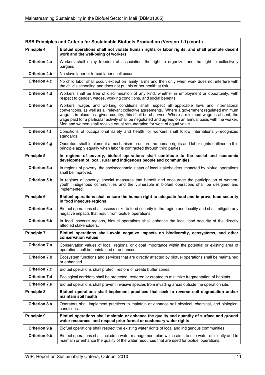| RSB Principles and Criteria for Sustainable Biofuels Production (Version 1.1) (cont.) |                                                                                                                                                                                                                                                                                                                                                                                                                                                                                        |  |  |  |
|---------------------------------------------------------------------------------------|----------------------------------------------------------------------------------------------------------------------------------------------------------------------------------------------------------------------------------------------------------------------------------------------------------------------------------------------------------------------------------------------------------------------------------------------------------------------------------------|--|--|--|
| <b>Principle 4</b>                                                                    | Biofuel operations shall not violate human rights or labor rights, and shall promote decent<br>work and the well-being of workers                                                                                                                                                                                                                                                                                                                                                      |  |  |  |
| Criterion 4.a                                                                         | Workers shall enjoy freedom of association, the right to organize, and the right to collectively<br>bargain.                                                                                                                                                                                                                                                                                                                                                                           |  |  |  |
| <b>Criterion 4.b</b>                                                                  | No slave labor or forced labor shall occur.                                                                                                                                                                                                                                                                                                                                                                                                                                            |  |  |  |
| <b>Criterion 4.c</b>                                                                  | No child labor shall occur, except on family farms and then only when work does not interfere with<br>the child's schooling and does not put his or her health at risk.                                                                                                                                                                                                                                                                                                                |  |  |  |
| <b>Criterion 4.d</b>                                                                  | Workers shall be free of discrimination of any kind, whether in employment or opportunity, with<br>respect to gender, wages, working conditions, and social benefits.                                                                                                                                                                                                                                                                                                                  |  |  |  |
| <b>Criterion 4.e</b>                                                                  | Workers' wages and working conditions shall respect all applicable laws and international<br>conventions, as well as all relevant collective agreements. Where a government regulated minimum<br>wage is in place in a given country, this shall be observed. Where a minimum wage is absent, the<br>wage paid for a particular activity shall be negotiated and agreed on an annual basis with the worker.<br>Men and women shall receive equal remuneration for work of equal value. |  |  |  |
| <b>Criterion 4.f</b>                                                                  | Conditions of occupational safety and health for workers shall follow internationally-recognized<br>standards.                                                                                                                                                                                                                                                                                                                                                                         |  |  |  |
| <b>Criterion 4.g</b>                                                                  | Operators shall implement a mechanism to ensure the human rights and labor rights outlined in this<br>principle apply equally when labor is contracted through third parties.                                                                                                                                                                                                                                                                                                          |  |  |  |
| Principle 5                                                                           | In regions of poverty, biofuel operations shall contribute to the social and economic<br>development of local, rural and indigenous people and communities                                                                                                                                                                                                                                                                                                                             |  |  |  |
| <b>Criterion 5.a</b>                                                                  | In regions of poverty, the socioeconomic status of local stakeholders impacted by biofuel operations<br>shall be improved.                                                                                                                                                                                                                                                                                                                                                             |  |  |  |
| <b>Criterion 5.b</b>                                                                  | In regions of poverty, special measures that benefit and encourage the participation of women,<br>youth, indigenous communities and the vulnerable in biofuel operations shall be designed and<br>implemented.                                                                                                                                                                                                                                                                         |  |  |  |
| <b>Principle 6</b>                                                                    | Biofuel operations shall ensure the human right to adequate food and improve food security<br>in food insecure regions                                                                                                                                                                                                                                                                                                                                                                 |  |  |  |
| <b>Criterion 6.a</b>                                                                  | Biofuel operations shall assess risks to food security in the region and locality and shall mitigate any<br>negative impacts that result from biofuel operations.                                                                                                                                                                                                                                                                                                                      |  |  |  |
| <b>Criterion 6.b</b>                                                                  | In food insecure regions, biofuel operations shall enhance the local food security of the directly<br>affected stakeholders.                                                                                                                                                                                                                                                                                                                                                           |  |  |  |
| <b>Principle 7</b>                                                                    | Biofuel operations shall avoid negative impacts on biodiversity, ecosystems, and other<br>conservation values                                                                                                                                                                                                                                                                                                                                                                          |  |  |  |
| <b>Criterion 7.a</b>                                                                  | Conservation values of local, regional or global importance within the potential or existing area of<br>operation shall be maintained or enhanced.                                                                                                                                                                                                                                                                                                                                     |  |  |  |
| <b>Criterion 7.b</b>                                                                  | Ecosystem functions and services that are directly affected by biofuel operations shall be maintained<br>or enhanced.                                                                                                                                                                                                                                                                                                                                                                  |  |  |  |
| <b>Criterion 7.c</b>                                                                  | Biofuel operations shall protect, restore or create buffer zones.                                                                                                                                                                                                                                                                                                                                                                                                                      |  |  |  |
| <b>Criterion 7.d</b>                                                                  | Ecological corridors shall be protected, restored or created to minimize fragmentation of habitats.                                                                                                                                                                                                                                                                                                                                                                                    |  |  |  |
| <b>Criterion 7.e</b>                                                                  | Biofuel operations shall prevent invasive species from invading areas outside the operation site.                                                                                                                                                                                                                                                                                                                                                                                      |  |  |  |
| <b>Principle 8</b>                                                                    | Biofuel operations shall implement practices that seek to reverse soil degradation and/or<br>maintain soil health                                                                                                                                                                                                                                                                                                                                                                      |  |  |  |
| <b>Criterion 8.a</b>                                                                  | Operators shall implement practices to maintain or enhance soil physical, chemical, and biological<br>conditions.                                                                                                                                                                                                                                                                                                                                                                      |  |  |  |
| <b>Principle 9</b>                                                                    | Biofuel operations shall maintain or enhance the quality and quantity of surface and ground<br>water resources, and respect prior formal or customary water rights                                                                                                                                                                                                                                                                                                                     |  |  |  |
| <b>Criterion 9.a</b>                                                                  | Biofuel operations shall respect the existing water rights of local and indigenous communities.                                                                                                                                                                                                                                                                                                                                                                                        |  |  |  |
| <b>Criterion 9.b</b>                                                                  | Biofuel operations shall include a water management plan which aims to use water efficiently and to<br>maintain or enhance the quality of the water resources that are used for biofuel operations.                                                                                                                                                                                                                                                                                    |  |  |  |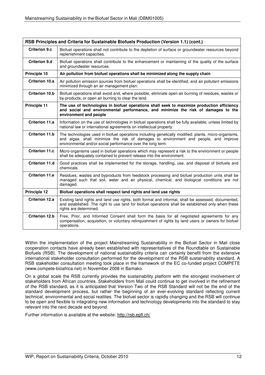| RSB Principles and Criteria for Sustainable Biofuels Production (Version 1.1) (cont.) |                                                                                                                                                                                                                                                             |  |  |  |
|---------------------------------------------------------------------------------------|-------------------------------------------------------------------------------------------------------------------------------------------------------------------------------------------------------------------------------------------------------------|--|--|--|
| <b>Criterion 9.c</b>                                                                  | Biofuel operations shall not contribute to the depletion of surface or groundwater resources beyond<br>replenishment capacities.                                                                                                                            |  |  |  |
| <b>Criterion 9.d</b>                                                                  | Biofuel operations shall contribute to the enhancement or maintaining of the quality of the surface<br>and groundwater resources.                                                                                                                           |  |  |  |
| Principle 10                                                                          | Air pollution from biofuel operations shall be minimized along the supply chain                                                                                                                                                                             |  |  |  |
| Criterion 10.a                                                                        | Air pollution emission sources from biofuel operations shall be identified, and air pollutant emissions<br>minimized through an air management plan.                                                                                                        |  |  |  |
| <b>Criterion 10.b</b>                                                                 | Biofuel operations shall avoid and, where possible, eliminate open-air burning of residues, wastes or<br>by-products, or open air burning to clear the land.                                                                                                |  |  |  |
| <b>Principle 11</b>                                                                   | The use of technologies in biofuel operations shall seek to maximize production efficiency<br>and social and environmental performance, and minimize the risk of damages to the<br>environment and people                                                   |  |  |  |
| <b>Criterion 11.a</b>                                                                 | Information on the use of technologies in biofuel operations shall be fully available, unless limited by<br>national law or international agreements on intellectual property.                                                                              |  |  |  |
| <b>Criterion 11.b</b>                                                                 | The technologies used in biofuel operations including genetically modified: plants, micro-organisms,<br>and algae, shall minimize the risk of damages to environment and people, and improve<br>environmental and/or social performance over the long term. |  |  |  |
| <b>Criterion 11.c</b>                                                                 | Micro-organisms used in biofuel operations which may represent a risk to the environment or people<br>shall be adequately contained to prevent release into the environment.                                                                                |  |  |  |
| <b>Criterion 11.d</b>                                                                 | Good practices shall be implemented for the storage, handling, use, and disposal of biofuels and<br>chemicals.                                                                                                                                              |  |  |  |
| <b>Criterion 11.e</b>                                                                 | Residues, wastes and byproducts from feedstock processing and biofuel production units shall be<br>managed such that soil, water and air physical, chemical, and biological conditions are not<br>damaged.                                                  |  |  |  |
| Principle 12                                                                          | Biofuel operations shall respect land rights and land use rights                                                                                                                                                                                            |  |  |  |
| Criterion 12.a                                                                        | Existing land rights and land use rights, both formal and informal, shall be assessed, documented,<br>and established. The right to use land for biofuel operations shall be established only when these<br>rights are determined.                          |  |  |  |
| <b>Criterion 12.b</b>                                                                 | Free, Prior, and Informed Consent shall form the basis for all negotiated agreements for any<br>compensation, acquisition, or voluntary relinquishment of rights by land users or owners for biofuel<br>operations.                                         |  |  |  |

Within the implementation of the project Mainstreaming Sustainability in the Biofuel Sector in Mali close cooperation contacts have already been established with representatives of the Roundtable on Sustainable Biofuels (RSB). The development of national sustainability criteria can certainly benefit from the extensive international stakeholder consultation performed for the development of the RSB sustainability standard. A RSB stakeholder consultation meeting took place in the framework of the EC co-funded project COMPETE (www.compete-bioafrica.net) in November 2008 in Bamako.

On a global scale the RSB currently provides the sustainability platform with the strongest involvement of stakeholders from African countries. Stakeholders from Mali could continue to get involved in the refinement of the RSB standard, as it is anticipated that Version Two of the RSB Standard will not be the end of the standard development process, but rather the beginning of an ever-evolving standard reflecting current technical, environmental and social realities. The biofuel sector is rapidly changing and the RSB will continue to be open and flexible to integrating new information and technology developments into the standard to stay relevant into the next decade and beyond.

Further information is available at the website: http://rsb.epfl.ch/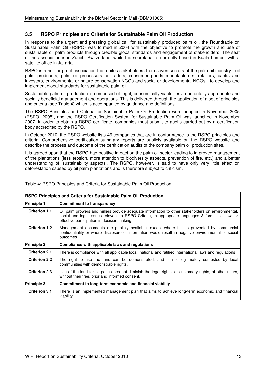# **3.5 RSPO Principles and Criteria for Sustainable Palm Oil Production**

In response to the urgent and pressing global call for sustainably produced palm oil, the Roundtable on Sustainable Palm Oil (RSPO) was formed in 2004 with the objective to promote the growth and use of sustainable oil palm products through credible global standards and engagement of stakeholders. The seat of the association is in Zurich, Switzerland, while the secretariat is currently based in Kuala Lumpur with a satellite office in Jakarta.

RSPO is a not-for-profit association that unites stakeholders from seven sectors of the palm oil industry - oil palm producers, palm oil processors or traders, consumer goods manufacturers, retailers, banks and investors, environmental or nature conservation NGOs and social or developmental NGOs - to develop and implement global standards for sustainable palm oil.

Sustainable palm oil production is comprised of legal, economically viable, environmentally appropriate and socially beneficial management and operations. This is delivered through the application of a set of principles and criteria (see Table 4) which is accompanied by guidance and definitions.

The RSPO Principles and Criteria for Sustainable Palm Oil Production were adopted in November 2005 (RSPO, 2005), and the RSPO Certification System for Sustainable Palm Oil was launched in November 2007. In order to obtain a RSPO certificate, companies must submit to audits carried out by a certification body accredited by the RSPO.

In October 2010, the RSPO website lists 46 companies that are in conformance to the RSPO principles and criteria. Comprehensive certification summary reports are publicly available on the RSPO website and describe the process and outcome of the certification audits of the company palm oil production sites.

It is agreed upon that the RSPO had positive impact on the palm oil sector leading to improved management of the plantations (less erosion, more attention to biodiversity aspects, prevention of fire, etc.) and a better understanding of 'sustainability aspects'. The RSPO, however, is said to have only very little effect on deforestation caused by oil palm plantations and is therefore subject to criticism.

| RSPO Principles and Criteria for Sustainable Palm Oil Production |                                                                                                                                                                                                                                                      |  |  |
|------------------------------------------------------------------|------------------------------------------------------------------------------------------------------------------------------------------------------------------------------------------------------------------------------------------------------|--|--|
| <b>Principle 1</b>                                               | <b>Commitment to transparency</b>                                                                                                                                                                                                                    |  |  |
| <b>Criterion 1.1</b>                                             | Oil palm growers and millers provide adequate information to other stakeholders on environmental,<br>social and legal issues relevant to RSPO Criteria, in appropriate languages & forms to allow for<br>effective participation in decision making. |  |  |
| <b>Criterion 1.2</b>                                             | Management documents are publicly available, except where this is prevented by commercial<br>confidentiality or where disclosure of information would result in negative environmental or social<br>outcomes.                                        |  |  |
| <b>Principle 2</b>                                               | Compliance with applicable laws and regulations                                                                                                                                                                                                      |  |  |
| <b>Criterion 2.1</b>                                             | There is compliance with all applicable local, national and ratified international laws and regulations                                                                                                                                              |  |  |
| <b>Criterion 2.2</b>                                             | The right to use the land can be demonstrated, and is not legitimately contested by local<br>communities with demonstrable rights.                                                                                                                   |  |  |
| <b>Criterion 2.3</b>                                             | Use of the land for oil palm does not diminish the legal rights, or customary rights, of other users,<br>without their free, prior and informed consent.                                                                                             |  |  |
| <b>Principle 3</b>                                               | Commitment to long-term economic and financial viability                                                                                                                                                                                             |  |  |
| <b>Criterion 3.1</b>                                             | There is an implemented management plan that aims to achieve long-term economic and financial<br>viability.                                                                                                                                          |  |  |

Table 4: RSPO Principles and Criteria for Sustainable Palm Oil Production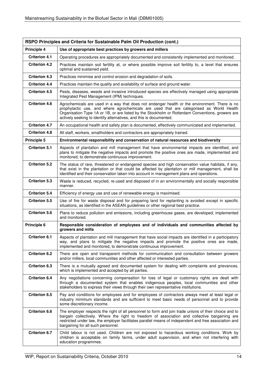| RSPO Principles and Criteria for Sustainable Palm Oil Production (cont.) |                                                                                                                                                                                                                                                                                                                                                                    |  |  |  |
|--------------------------------------------------------------------------|--------------------------------------------------------------------------------------------------------------------------------------------------------------------------------------------------------------------------------------------------------------------------------------------------------------------------------------------------------------------|--|--|--|
| Principle 4                                                              | Use of appropriate best practices by growers and millers                                                                                                                                                                                                                                                                                                           |  |  |  |
| <b>Criterion 4.1</b>                                                     | Operating procedures are appropriately documented and consistently implemented and monitored.                                                                                                                                                                                                                                                                      |  |  |  |
| <b>Criterion 4.2</b>                                                     | Practices maintain soil fertility at, or where possible improve soil fertility to, a level that ensures<br>optimal and sustained yield.                                                                                                                                                                                                                            |  |  |  |
| <b>Criterion 4.3</b>                                                     | Practices minimise and control erosion and degradation of soils.                                                                                                                                                                                                                                                                                                   |  |  |  |
| <b>Criterion 4.4</b>                                                     | Practices maintain the quality and availability of surface and ground water.                                                                                                                                                                                                                                                                                       |  |  |  |
| <b>Criterion 4.5</b>                                                     | Pests, diseases, weeds and invasive introduced species are effectively managed using appropriate<br>Integrated Pest Management (IPM) techniques.                                                                                                                                                                                                                   |  |  |  |
| <b>Criterion 4.6</b>                                                     | Agrochemicals are used in a way that does not endanger health or the environment. There is no<br>prophylactic use, and where agrochemicals are used that are categorised as World Health<br>Organisation Type 1A or 1B, or are listed by the Stockholm or Rotterdam Conventions, growers are<br>actively seeking to identify alternatives, and this is documented. |  |  |  |
| <b>Criterion 4.7</b>                                                     | An occupational health and safety plan is documented, effectively communicated and implemented.                                                                                                                                                                                                                                                                    |  |  |  |
| <b>Criterion 4.8</b>                                                     | All staff, workers, smallholders and contractors are appropriately trained.                                                                                                                                                                                                                                                                                        |  |  |  |
| <b>Principle 5</b>                                                       | Environmental responsibility and conservation of natural resources and biodiversity                                                                                                                                                                                                                                                                                |  |  |  |
| <b>Criterion 5.1</b>                                                     | Aspects of plantation and mill management that have environmental impacts are identified, and<br>plans to mitigate the negative impacts and promote the positive ones are made, implemented and<br>monitored, to demonstrate continuous improvement.                                                                                                               |  |  |  |
| <b>Criterion 5.2</b>                                                     | The status of rare, threatened or endangered species and high conservation value habitats, if any,<br>that exist in the plantation or that could be affected by plantation or mill management, shall be<br>identified and their conservation taken into account in management plans and operations.                                                                |  |  |  |
| <b>Criterion 5.3</b>                                                     | Waste is reduced, recycled, re-used and disposed of in an environmentally and socially responsible<br>manner.                                                                                                                                                                                                                                                      |  |  |  |
| <b>Criterion 5.4</b>                                                     | Efficiency of energy use and use of renewable energy is maximised.                                                                                                                                                                                                                                                                                                 |  |  |  |
| <b>Criterion 5.5</b>                                                     | Use of fire for waste disposal and for preparing land for replanting is avoided except in specific<br>situations, as identified in the ASEAN guidelines or other regional best practice.                                                                                                                                                                           |  |  |  |
| <b>Criterion 5.6</b>                                                     | Plans to reduce pollution and emissions, including greenhouse gases, are developed, implemented<br>and monitored.                                                                                                                                                                                                                                                  |  |  |  |
| Principle 6                                                              | Responsible consideration of employees and of individuals and communities affected by<br>growers and mills                                                                                                                                                                                                                                                         |  |  |  |
| <b>Criterion 6.1</b>                                                     | Aspects of plantation and mill management that have social impacts are identified in a participatory<br>way, and plans to mitigate the negative impacts and promote the positive ones are made,<br>implemented and monitored, to demonstrate continuous improvement.                                                                                               |  |  |  |
| <b>Criterion 6.2</b>                                                     | There are open and transparent methods for communication and consultation between growers<br>and/or millers, local communities and other affected or interested parties.                                                                                                                                                                                           |  |  |  |
| <b>Criterion 6.3</b>                                                     | There is a mutually agreed and documented system for dealing with complaints and grievances,<br>which is implemented and accepted by all parties.                                                                                                                                                                                                                  |  |  |  |
| <b>Criterion 6.4</b>                                                     | Any negotiations concerning compensation for loss of legal or customary rights are dealt with<br>through a documented system that enables indigenous peoples, local communities and other<br>stakeholders to express their views through their own representative institutions.                                                                                    |  |  |  |
| <b>Criterion 6.5</b>                                                     | Pay and conditions for employees and for employees of contractors always meet at least legal or<br>industry minimum standards and are sufficient to meet basic needs of personnel and to provide<br>some discretionary income.                                                                                                                                     |  |  |  |
| <b>Criterion 6.6</b>                                                     | The employer respects the right of all personnel to form and join trade unions of their choice and to<br>bargain collectively. Where the right to freedom of association and collective bargaining are<br>restricted under law, the employer facilitates parallel means of independent and free association and<br>bargaining for all such personnel.              |  |  |  |
| <b>Criterion 6.7</b>                                                     | Child labour is not used. Children are not exposed to hazardous working conditions. Work by<br>children is acceptable on family farms, under adult supervision, and when not interfering with<br>education programmes.                                                                                                                                             |  |  |  |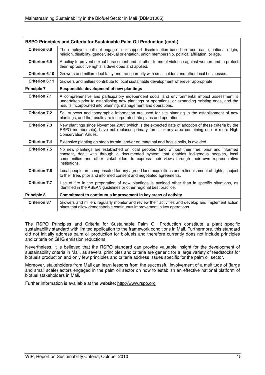| RSPO Principles and Criteria for Sustainable Palm Oil Production (cont.) |                                                                                                                                                                                                                                                                                                         |  |  |  |
|--------------------------------------------------------------------------|---------------------------------------------------------------------------------------------------------------------------------------------------------------------------------------------------------------------------------------------------------------------------------------------------------|--|--|--|
| <b>Criterion 6.8</b>                                                     | The employer shall not engage in or support discrimination based on race, caste, national origin,<br>religion, disability, gender, sexual orientation, union membership, political affiliation, or age.                                                                                                 |  |  |  |
| <b>Criterion 6.9</b>                                                     | A policy to prevent sexual harassment and all other forms of violence against women and to protect<br>their reproductive rights is developed and applied.                                                                                                                                               |  |  |  |
| <b>Criterion 6.10</b>                                                    | Growers and millers deal fairly and transparently with smallholders and other local businesses.                                                                                                                                                                                                         |  |  |  |
| <b>Criterion 6.11</b>                                                    | Growers and millers contribute to local sustainable development wherever appropriate.                                                                                                                                                                                                                   |  |  |  |
| <b>Principle 7</b>                                                       | Responsible development of new plantings                                                                                                                                                                                                                                                                |  |  |  |
| <b>Criterion 7.1</b>                                                     | A comprehensive and participatory independent social and environmental impact assessment is<br>undertaken prior to establishing new plantings or operations, or expanding existing ones, and the<br>results incorporated into planning, management and operations.                                      |  |  |  |
| <b>Criterion 7.2</b>                                                     | Soil surveys and topographic information are used for site planning in the establishment of new<br>plantings, and the results are incorporated into plans and operations.                                                                                                                               |  |  |  |
| <b>Criterion 7.3</b>                                                     | New plantings since November 2005 (which is the expected date of adoption of these criteria by the<br>RSPO membership), have not replaced primary forest or any area containing one or more High<br><b>Conservation Values.</b>                                                                         |  |  |  |
| <b>Criterion 7.4</b>                                                     | Extensive planting on steep terrain, and/or on marginal and fragile soils, is avoided.                                                                                                                                                                                                                  |  |  |  |
| <b>Criterion 7.5</b>                                                     | No new plantings are established on local peoples' land without their free, prior and informed<br>consent, dealt with through a documented system that enables indigenous peoples, local<br>communities and other stakeholders to express their views through their own representative<br>institutions. |  |  |  |
| <b>Criterion 7.6</b>                                                     | Local people are compensated for any agreed land acquisitions and relinguishment of rights, subject<br>to their free, prior and informed consent and negotiated agreements.                                                                                                                             |  |  |  |
| <b>Criterion 7.7</b>                                                     | Use of fire in the preparation of new plantings is avoided other than in specific situations, as<br>identified in the ASEAN guidelines or other regional best practice.                                                                                                                                 |  |  |  |
| Principle 8                                                              | Commitment to continuous improvement in key areas of activity                                                                                                                                                                                                                                           |  |  |  |
| <b>Criterion 8.1</b>                                                     | Growers and millers regularly monitor and review their activities and develop and implement action<br>plans that allow demonstrable continuous improvement in key operations.                                                                                                                           |  |  |  |

The RSPO Principles and Criteria for Sustainable Palm Oil Production constitute a plant specific sustainability standard with limited application to the framework conditions in Mali. Furthermore, this standard did not initially address palm oil production for biofuels and therefore currently does not include principles and criteria on GHG emission reductions.

Nevertheless, it is believed that the RSPO standard can provide valuable insight for the development of sustainability criteria in Mali, as several principles and criteria are generic for a large variety of feedstocks for biofuels production and only few principles and criteria address issues specific for the palm oil sector.

Moreover, stakeholders from Mali can learn lessons from the successful involvement of a multitude of (large and small scale) actors engaged in the palm oil sector on how to establish an effective national platform of biofuel stakeholders in Mali.

Further information is available at the website: http://www.rspo.org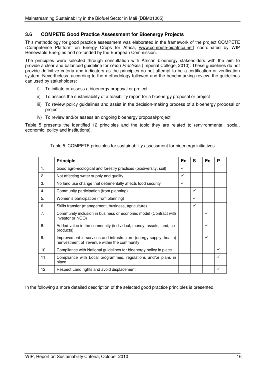# **3.6 COMPETE Good Practice Assessment for Bioenergy Projects**

This methodology for good practice assessment was elaborated in the framework of the project COMPETE (Competence Platform on Energy Crops for Africa, www.compete-bioafrica.net) coordinated by WIP Renewable Energies and co-funded by the European Commission.

The principles were selected through consultation with African bioenergy stakeholders with the aim to provide a clear and balanced guideline for *Good Practices* (Imperial College, 2010). These guidelines do not provide definitive criteria and indicators as the principles do not attempt to be a certification or verification system. Nevertheless, according to the methodology followed and the benchmarking review, the guidelines can used by stakeholders:

- i) To initiate or assess a bioenergy proposal or project
- ii) To assess the sustainability of a feasibility report for a bioenergy proposal or project
- iii) To review policy guidelines and assist in the decision-making process of a bioenergy proposal or project
- iv) To review and/or assess an ongoing bioenergy proposal/project

Table 5 presents the identified 12 principles and the topic they are related to (environmental, social, economic, policy and institutions).

|                | <b>Principle</b>                                                                                                   | En | S | Ec.          | P |
|----------------|--------------------------------------------------------------------------------------------------------------------|----|---|--------------|---|
| 1 <sub>1</sub> | Good agro-ecological and forestry practices (biodiversity, soil)                                                   | ✓  |   |              |   |
| 2.             | Not affecting water supply and quality                                                                             | ✓  |   |              |   |
| 3.             | No land use change that detrimentally affects food security                                                        | ✓  |   |              |   |
| 4.             | Community participation (from planning)                                                                            |    | ✓ |              |   |
| 5.             | Women's participation (from planning)                                                                              |    | ✓ |              |   |
| 6.             | Skills transfer (management, business, agriculture)                                                                |    | ✓ |              |   |
| 7.             | Community inclusion in business or economic model (Contract with<br>investor or NGO)                               |    |   | $\checkmark$ |   |
| 8.             | Added value in the community (individual, money, assets, land, co-<br>products)                                    |    |   | $\checkmark$ |   |
| 9.             | Improvement in services and infrastructure (energy supply, health)<br>reinvestment of revenue within the community |    |   | $\checkmark$ |   |
| 10.            | Compliance with National guidelines for bioenergy policy in place                                                  |    |   |              | ✓ |
| 11.            | Compliance with Local programmes, regulations and/or plans in<br>place                                             |    |   |              |   |
| 12.            | Respect Land rights and avoid displacement                                                                         |    |   |              |   |

Table 5: COMPETE principles for sustainability assessment for bioenergy initiatives

In the following a more detailed description of the selected good practice principles is presented.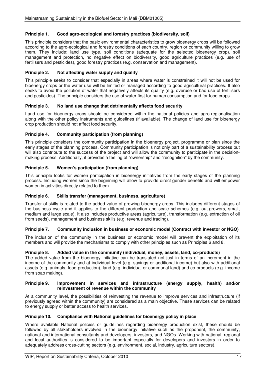#### **Principle 1. Good agro-ecological and forestry practices (biodiversity, soil)**

This principle considers that the basic environmental characteristics to grow bioenergy crops will be followed according to the agro-ecological and forestry conditions of each country, region or community willing to grow them. They include: land use type, soil conditions (adequate for the selected bioenergy crop), soil management and protection, no negative effect on biodiversity, good agriculture practices (e.g. use of fertilisers and pesticides), good forestry practices (e.g. conservation and management).

#### **Principle 2. Not affecting water supply and quality**

This principle seeks to consider that especially in areas where water is constrained it will not be used for bioenergy crops or the water use will be limited or managed according to good agricultural practices. It also seeks to avoid the pollution of water that negatively affects its quality (e.g. overuse or bad use of fertilisers and pesticides). The principle considers the use of water first for human consumption and for food crops.

#### **Principle 3. No land use change that detrimentally affects food security**

Land use for bioenergy crops should be considered within the national policies and agro-regionalisation along with the other policy instruments and guidelines (if available). The change of land use for bioenergy crop production should not affect food security.

#### **Principle 4. Community participation (from planning)**

This principle considers the community participation in the bioenergy project, programme or plan since the early stages of the planning process. Community participation is not only part of a sustainability process but will also contribute to the success of the project and will allow the community to participate in the decisionmaking process. Additionally, it provides a feeling of "ownership" and "recognition" by the community.

#### **Principle 5. Women's participation (from planning)**

This principle looks for women participation in bioenergy initiatives from the early stages of the planning process. Including women since the beginning will allow to provide direct gender benefits and will empower women in activities directly related to them.

#### **Principle 6. Skills transfer (management, business, agriculture)**

Transfer of skills is related to the added value of growing bioenergy crops. This includes different stages of the business cycle and it applies to the different production and scale schemes (e.g. out-growers, small, medium and large scale). It also includes productive areas (agriculture), transformation (e.g. extraction of oil from seeds), management and business skills (e.g. revenue and trading).

#### **Principle 7. Community inclusion in business or economic model (Contract with investor or NGO)**

The inclusion of the community in the business or economic model will prevent the exploitation of its members and will provide the mechanisms to comply with other principles such as Principles 6 and 8.

#### **Principle 8. Added value in the community (individual, money, assets, land, co-products)**

The added value from the bioenergy initiative can be translated not just in terms of an increment in the income of the community and at individual level (e.g. savings or additional income) but also with additional assets (e.g. animals, food production), land (e.g. individual or communal land) and co-products (e.g. income from soap making).

#### **Principle 9. Improvement in services and infrastructure (energy supply, health) and/or reinvestment of revenue within the community**

At a community level, the possibilities of reinvesting the revenue to improve services and infrastructure (if previously agreed within the community) are considered as a main objective. These services can be related to energy supply or better access to health services.

#### **Principle 10. Compliance with National guidelines for bioenergy policy in place**

Where available National policies or quidelines regarding bioenergy production exist, these should be followed by all stakeholders involved in the bioenergy initiative such as the proponent, the community, national and international consultants and developers, investors, and NGOs. Working with national, regional and local authorities is considered to be important especially for developers and investors in order to adequately address cross-cutting sectors (e.g. environment, social, industry, agriculture sectors).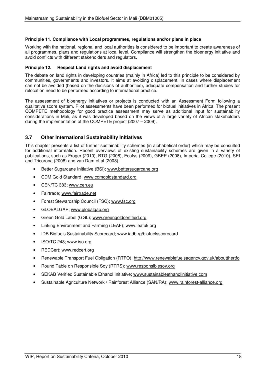#### **Principle 11. Compliance with Local programmes, regulations and/or plans in place**

Working with the national, regional and local authorities is considered to be important to create awareness of all programmes, plans and regulations at local level. Compliance will strengthen the bioenergy initiative and avoid conflicts with different stakeholders and regulators.

#### **Principle 12. Respect Land rights and avoid displacement**

The debate on land rights in developing countries (mainly in Africa) led to this principle to be considered by communities, governments and investors. It aims at avoiding displacement. In cases where displacement can not be avoided (based on the decisions of authorities), adequate compensation and further studies for relocation need to be performed according to international practice.

The assessment of bioenergy initiatives or projects is conducted with an Assessment Form following a qualitative score system. Pilot assessments have been performed for biofuel initiatives in Africa. The present COMPETE methodology for good practice assessment may serve as additional input for sustainability considerations in Mali, as it was developed based on the views of a large variety of African stakeholders during the implementation of the COMPETE project (2007 – 2009).

#### **3.7 Other International Sustainability Initiatives**

This chapter presents a list of further sustainability schemes (in alphabetical order) which may be consulted for additional information. Recent overviews of existing sustainability schemes are given in a variety of publications, such as Froger (2010), BTG (2008), Ecofys (2009), GBEP (2008), Imperial College (2010), SEI and Tricorona (2008) and van Dam et al (2008).

- Better Sugarcane Initiative (BSI); www.bettersugarcane.org
- CDM Gold Standard; www.cdmgoldstandard.org
- CEN/TC 383; www.cen.eu
- Fairtrade; www.fairtrade.net
- Forest Stewardship Council (FSC); www.fsc.org
- GLOBALGAP; www.globalgap.org
- Green Gold Label (GGL); www.greengoldcertified.org
- Linking Environment and Farming (LEAF); www.leafuk.org
- IDB Biofuels Sustainability Scorecard; www.iadb.rg/biofuelsscorecard
- ISO/TC 248; www.iso.org
- REDCert; www.redcert.org
- Renewable Transport Fuel Obligation (RTFO); http://www.renewablefuelsagency.gov.uk/aboutthertfo
- Round Table on Responsible Soy (RTRS); www.responsiblesoy.org
- SEKAB Verified Sustainable Ethanol Initiative; www.sustainableethanolinitiative.com
- Sustainable Agriculture Network / Rainforest Alliance (SAN/RA); www.rainforest-alliance.org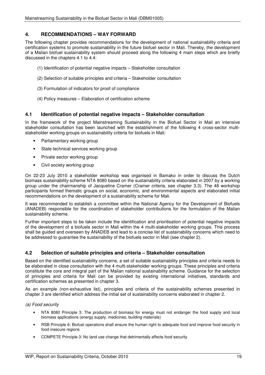### **4. RECOMMENDATIONS – WAY FORWARD**

The following chapter provides recommendations for the development of national sustainability criteria and certification systems to promote sustainability in the future biofuel sector in Mali. Thereby, the development of a Malian biofuel sustainability system should proceed along the following 4 main steps which are briefly discussed in the chapters 4.1 to 4.4:

- (1) Identification of potential negative impacts Stakeholder consultation
- (2) Selection of suitable principles and criteria Stakeholder consultation
- (3) Formulation of indicators for proof of compliance
- (4) Policy measures Elaboration of certification scheme

#### **4.1 Identification of potential negative impacts – Stakeholder consultation**

In the framework of the project Mainstreaming Sustainability in the Biofuel Sector in Mali an intensive stakeholder consultation has been launched with the establishment of the following 4 cross-sector multistakeholder working groups on sustainability criteria for biofuels in Mali:

- Parliamentary working group
- State technical services working group
- Private sector working group
- Civil society working group

On 22-23 July 2010 a stakeholder workshop was organised in Bamako in order to discuss the Dutch biomass sustainability scheme NTA 8080 based on the sustainability criteria elaborated in 2007 by a working group under the chairmanship of Jacqueline Cramer (Cramer criteria, see chapter 3.3). The 48 workshop participants formed thematic groups on social, economic, and environmental aspects and elaborated initial recommendations on the development of a sustainability scheme for Mali.

It was recommended to establish a committee within the National Agency for the Development of Biofuels (ANADEB) responsible for the coordination of stakeholder contributions for the formulation of the Malian sustainability scheme.

Further important steps to be taken include the identification and prioritisation of potential negative impacts of the development of a biofuels sector in Mali within the 4 multi-stakeholder working groups. This process shall be guided and overseen by ANADEB and lead to a concise list of sustainability concerns which need to be addressed to guarantee the sustainability of the biofuels sector in Mali (see chapter 2).

#### **4.2 Selection of suitable principles and criteria – Stakeholder consultation**

Based on the identified sustainability concerns, a set of suitable sustainability principles and criteria needs to be elaborated in close consultation with the 4 multi-stakeholder working groups. These principles and criteria constitute the core and integral part of the Malian national sustainability scheme. Guidance for the selection of principles and criteria for Mali can be provided by existing international initiatives, standards and certification schemes as presented in chapter 3.

As an example (non-exhaustive list), principles and criteria of the sustainability schemes presented in chapter 3 are identified which address the initial set of sustainability concerns elaborated in chapter 2.

(a) Food security

- NTA 8080 Principle 3: The production of biomass for energy must not endanger the food supply and local biomass applications (energy supply, medicines, building materials)
- RSB Principle 6: Biofuel operations shall ensure the human right to adequate food and improve food security in food insecure regions
- COMPETE Principle 3: No land use change that detrimentally affects food security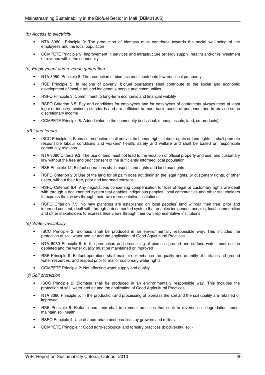#### (b) Access to electricity

- NTA 8080 Principle 9: The production of biomass must contribute towards the social well-being of the employees and the local population
- COMPETE Principle 9: Improvement in services and infrastructure (energy supply, health) and/or reinvestment of revenue within the community

#### (c) Employment and revenue generation

- NTA 8080 Principle 8: The production of biomass must contribute towards local prosperity
- RSB Principle 5: In regions of poverty, biofuel operations shall contribute to the social and economic development of local, rural and indigenous people and communities
- RSPO Principle 3: Commitment to long-term economic and financial viability
- RSPO Criterion 6.5: Pay and conditions for employees and for employees of contractors always meet at least legal or industry minimum standards and are sufficient to meet basic needs of personnel and to provide some discretionary income
- COMPETE Principle 8: Added value in the community (individual, money, assets, land, co-products)

#### (d) Land tenure

- ISCC Principle 4: Biomass production shall not violate human rights, labour rights or land rights. It shall promote responsible labour conditions and workers' health, safety and welfare and shall be based on responsible community relations
- NTA 8080 Criteria 9.3: The use of land must not lead to the violation of official property and use, and customary law without the free and prior consent of the sufficiently informed local population
- RSB Principle 12: Biofuel operations shall respect land rights and land use rights
- RSPO Criterion 2.3: Use of the land for oil palm does not diminish the legal rights, or customary rights, of other users, without their free, prior and informed consent
- RSPO Criterion 6.4: Any negotiations concerning compensation for loss of legal or customary rights are dealt with through a documented system that enables indigenous peoples, local communities and other stakeholders to express their views through their own representative institutions
- RSPO Criterion 7.5: No new plantings are established on local peoples' land without their free, prior and informed consent, dealt with through a documented system that enables indigenous peoples, local communities and other stakeholders to express their views through their own representative institutions

#### (e) Water availability

- ISCC Principle 2: Biomass shall be produced in an environmentally responsible way. This includes the protection of soil, water and air and the application of Good Agricultural Practices
- NTA 8080 Principle 6: In the production and processing of biomass ground and surface water must not be depleted and the water quality must be maintained or improved
- RSB Principle 9: Biofuel operations shall maintain or enhance the quality and quantity of surface and ground water resources, and respect prior formal or customary water rights
- COMPETE Principle 2: Not affecting water supply and quality

#### (f) Soil protection

- ISCC Principle 2: Biomass shall be produced in an environmentally responsible way. This includes the protection of soil, water and air and the application of Good Agricultural Practices
- NTA 8080 Principle 5: In the production and processing of biomass the soil and the soil quality are retained or improved
- RSB Principle 8: Biofuel operations shall implement practices that seek to reverse soil degradation and/or maintain soil health
- RSPO Principle 4: Use of appropriate best practices by growers and millers
- COMPETE Principle 1: Good agro-ecological and forestry practices (biodiversity, soil)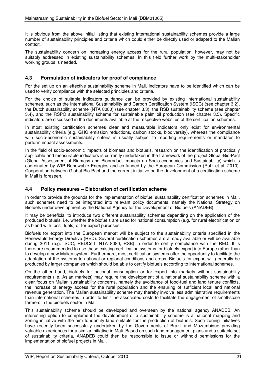It is obvious from the above initial listing that existing international sustainability schemes provide a large number of sustainability principles and criteria which could either be directly used or adapted to the Malian context.

The sustainability concern on increasing energy access for the rural population, however, may not be suitably addressed in existing sustainability schemes. In this field further work by the multi-stakeholder working groups is needed.

#### **4.3 Formulation of indicators for proof of compliance**

For the set up on an effective sustainability scheme in Mali, indicators have to be identified which can be used to verify compliance with the selected principles and criteria.

For the choice of suitable indicators guidance can be provided by existing international sustainability schemes, such as the International Sustainability and Carbon Certification System (ISCC) (see chapter 3.2), the Dutch sustainability scheme (NTA 8080) (see chapter 3.3), the RSB sustainability scheme (see chapter 3.4), and the RSPO sustainability scheme for sustainable palm oil production (see chapter 3.5). Specific indicators are discussed in the documents available at the respective websites of the certification schemes.

In most existing certification schemes clear and measurable indicators only exist for environmental sustainability criteria (e.g. GHG emission reductions, carbon stocks, biodiversity), whereas the compliance with socio-economic sustainability criteria is usually subject to reporting requirements or mandates to perform impact assessments.

In the field of socio-economic impacts of biomass and biofuels, research on the identification of practically applicable and measurable indicators is currently undertaken in the framework of the project Global-Bio-Pact (Global Assessment of Biomass and Bioproduct Impacts on Socio-economics and Sustainability) which is coordinated by WIP Renewable Energies and co-funded by the European Commission (Rutz et al. 2010). Cooperation between Global-Bio-Pact and the current initiative on the development of a certification scheme in Mali is foreseen.

#### **4.4 Policy measures – Elaboration of certification scheme**

In order to provide the grounds for the implementation of biofuel sustainability certification schemes in Mali, such schemes need to be integrated into relevant policy documents, namely the National Strategy on Biofuels under development by the National Agency for the Development of Biofuels (ANADEB).

It may be beneficial to introduce two different sustainability schemes depending on the application of the produced biofuels, i.e. whether the biofuels are used for national consumption (e.g. for rural electrification or as blend with fossil fuels) or for export purposes.

Biofuels for export into the European market will be subject to the sustainability criteria specified in the Renewable Energy Directive (RED). Several certification schemes are already available or will be available during 2011 (e.g. ISCC, REDCert, NTA 8080, RSB) in order to certify compliance with the RED. It is therefore recommended to use these existing certification systems for biofuels export into Europe rather than to develop a new Malian system. Furthermore, most certification systems offer the opportunity to facilitate the adaptation of the systems to national or regional conditions and crops. Biofuels for export will generally be produced by larger companies which should be able to certify biofuels according to international schemes.

On the other hand, biofuels for national consumption or for export into markets without sustainability requirements (i.e. Asian markets) may require the development of a national sustainability scheme with a clear focus on Malian sustainability concerns, namely the avoidance of food-fuel and land tenure conflicts, the increase of energy access for the rural population and the ensuring of sufficient local and national revenue generation. The Malian sustainability scheme may thereby involve less administrative requirements than international schemes in order to limit the associated costs to facilitate the engagement of small-scale farmers in the biofuels sector in Mali.

This sustainability scheme should be developed and overseen by the national agency ANADEB. An interesting option to complement the development of a sustainability scheme is a national mapping and zoning initiative with the aim to identify land suitable for the production of biofuels. Such zoning initiatives have recently been successfully undertaken by the Governments of Brazil and Mozambique providing valuable experiences for a similar initiative in Mali. Based on such land management plans and a suitable set of sustainability criteria, ANADEB could then be responsible to issue or withhold permissions for the implementation of biofuel projects in Mali.